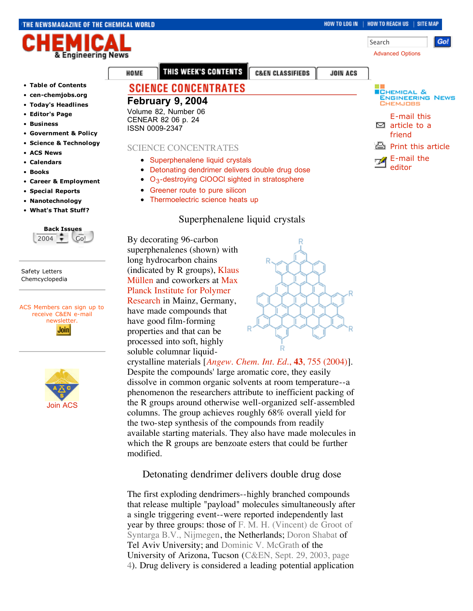#### THE NEWSMAGAZINE OF THE CHEMICAL WORLD

#### HOW TO LOG IN | HOW TO REACH US | SITE MAP

Search

Advanced Options



- **Table of Contents**
- **cen-chemjobs.org**
- **Today's Headlines**
- **Editor's Page**
- **Business**
- **Government & Policy**
- **Science & Technology**
- **ACS News**
- **Calendars**
- **Books**
- **Career & Employment**
- **Special Reports**
- **Nanotechnology**
- **What's That Stuff?**



Safety Letters Chemcyclopedia

ACS Members can sign up to receive C&EN e-mail newsletter. **Join** 



THIS WEEK'S CONTENTS

**C&EN CLASSIFIEDS** 

# **SCIENCE CONCENTRATES**

**February 9, 2004** Volume 82, Number 06 CENEAR 82 06 p. 24 ISSN 0009-2347

HOME

#### SCIENCE CONCENTRATES

- Superphenalene liquid crystals
- Detonating dendrimer delivers double drug dose
- O<sub>3</sub>-destroying CIOOCI sighted in stratosphere
- Greener route to pure silicon
- Thermoelectric science heats up

# Superphenalene liquid crystals

By decorating 96-carbon superphenalenes (shown) with long hydrocarbon chains (indicated by R groups), Klaus Müllen and coworkers at Max Planck Institute for Polymer Research in Mainz, Germany,

have made compounds that have good film-forming properties and that can be processed into soft, highly soluble columnar liquid-

crystalline materials [*Angew. Chem. Int. Ed.*, **43**, 755 (2004)]. Despite the compounds' large aromatic core, they easily dissolve in common organic solvents at room temperature--a phenomenon the researchers attribute to inefficient packing of the R groups around otherwise well-organized self-assembled columns. The group achieves roughly 68% overall yield for the two-step synthesis of the compounds from readily available starting materials. They also have made molecules in which the R groups are benzoate esters that could be further modified.

# Detonating dendrimer delivers double drug dose

The first exploding dendrimers--highly branched compounds that release multiple "payload" molecules simultaneously after a single triggering event--were reported independently last year by three groups: those of F. M. H. (Vincent) de Groot of Syntarga B.V., Nijmegen, the Netherlands; Doron Shabat of Tel Aviv University; and Dominic V. McGrath of the University of Arizona, Tucson (C&EN, Sept. 29, 2003, page 4). Drug delivery is considered a leading potential application



**Go!** 

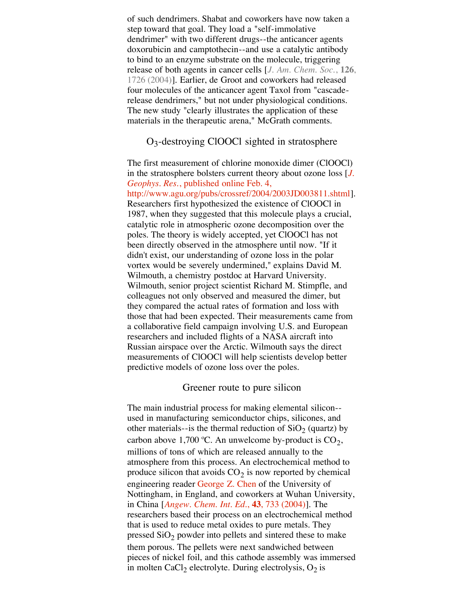of such dendrimers. Shabat and coworkers have now taken a step toward that goal. They load a "self-immolative dendrimer" with two different drugs--the anticancer agents doxorubicin and camptothecin--and use a catalytic antibody to bind to an enzyme substrate on the molecule, triggering release of both agents in cancer cells [*J. Am. Chem. Soc.*, **126**, 1726 (2004)]. Earlier, de Groot and coworkers had released four molecules of the anticancer agent Taxol from "cascaderelease dendrimers," but not under physiological conditions. The new study "clearly illustrates the application of these materials in the therapeutic arena," McGrath comments.

### O3-destroying ClOOCl sighted in stratosphere

The first measurement of chlorine monoxide dimer (ClOOCl) in the stratosphere bolsters current theory about ozone loss [*J. Geophys. Res.*, published online Feb. 4, http://www.agu.org/pubs/crossref/2004/2003JD003811.shtml]. Researchers first hypothesized the existence of ClOOCl in 1987, when they suggested that this molecule plays a crucial, catalytic role in atmospheric ozone decomposition over the poles. The theory is widely accepted, yet ClOOCl has not been directly observed in the atmosphere until now. "If it didn't exist, our understanding of ozone loss in the polar vortex would be severely undermined," explains David M. Wilmouth, a chemistry postdoc at Harvard University. Wilmouth, senior project scientist Richard M. Stimpfle, and colleagues not only observed and measured the dimer, but they compared the actual rates of formation and loss with those that had been expected. Their measurements came from a collaborative field campaign involving U.S. and European researchers and included flights of a NASA aircraft into Russian airspace over the Arctic. Wilmouth says the direct measurements of ClOOCl will help scientists develop better predictive models of ozone loss over the poles.

#### Greener route to pure silicon

The main industrial process for making elemental silicon- used in manufacturing semiconductor chips, silicones, and other materials--is the thermal reduction of  $SiO<sub>2</sub>$  (quartz) by carbon above 1,700 °C. An unwelcome by-product is  $CO_2$ , millions of tons of which are released annually to the atmosphere from this process. An electrochemical method to produce silicon that avoids  $CO<sub>2</sub>$  is now reported by chemical engineering reader George Z. Chen of the University of Nottingham, in England, and coworkers at Wuhan University, in China [*Angew. Chem. Int. Ed.*, **43**, 733 (2004)]. The researchers based their process on an electrochemical method that is used to reduce metal oxides to pure metals. They pressed  $SiO<sub>2</sub>$  powder into pellets and sintered these to make them porous. The pellets were next sandwiched between pieces of nickel foil, and this cathode assembly was immersed in molten CaCl<sub>2</sub> electrolyte. During electrolysis,  $O_2$  is